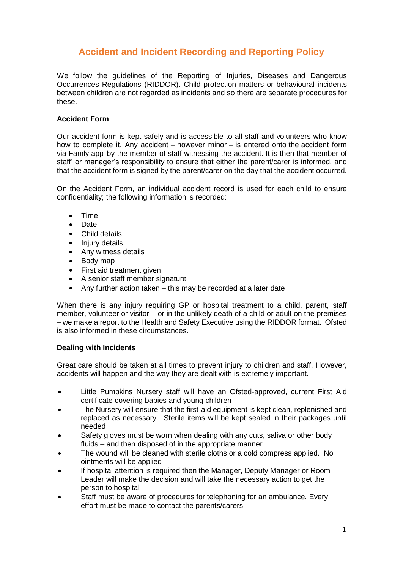# **Accident and Incident Recording and Reporting Policy**

We follow the guidelines of the Reporting of Injuries, Diseases and Dangerous Occurrences Regulations (RIDDOR). Child protection matters or behavioural incidents between children are not regarded as incidents and so there are separate procedures for these.

### **Accident Form**

Our accident form is kept safely and is accessible to all staff and volunteers who know how to complete it. Any accident – however minor – is entered onto the accident form via Famly app by the member of staff witnessing the accident. It is then that member of staff' or manager's responsibility to ensure that either the parent/carer is informed, and that the accident form is signed by the parent/carer on the day that the accident occurred.

On the Accident Form, an individual accident record is used for each child to ensure confidentiality; the following information is recorded:

- Time
- Date
- Child details
- Injury details
- Any witness details
- Body map
- First aid treatment given
- A senior staff member signature
- Any further action taken this may be recorded at a later date

When there is any injury requiring GP or hospital treatment to a child, parent, staff member, volunteer or visitor – or in the unlikely death of a child or adult on the premises – we make a report to the Health and Safety Executive using the RIDDOR format. Ofsted is also informed in these circumstances.

### **Dealing with Incidents**

Great care should be taken at all times to prevent injury to children and staff. However, accidents will happen and the way they are dealt with is extremely important.

- Little Pumpkins Nursery staff will have an Ofsted-approved, current First Aid certificate covering babies and young children
- The Nursery will ensure that the first-aid equipment is kept clean, replenished and replaced as necessary. Sterile items will be kept sealed in their packages until needed
- Safety gloves must be worn when dealing with any cuts, saliva or other body fluids – and then disposed of in the appropriate manner
- The wound will be cleaned with sterile cloths or a cold compress applied. No ointments will be applied
- If hospital attention is required then the Manager, Deputy Manager or Room Leader will make the decision and will take the necessary action to get the person to hospital
- Staff must be aware of procedures for telephoning for an ambulance. Every effort must be made to contact the parents/carers